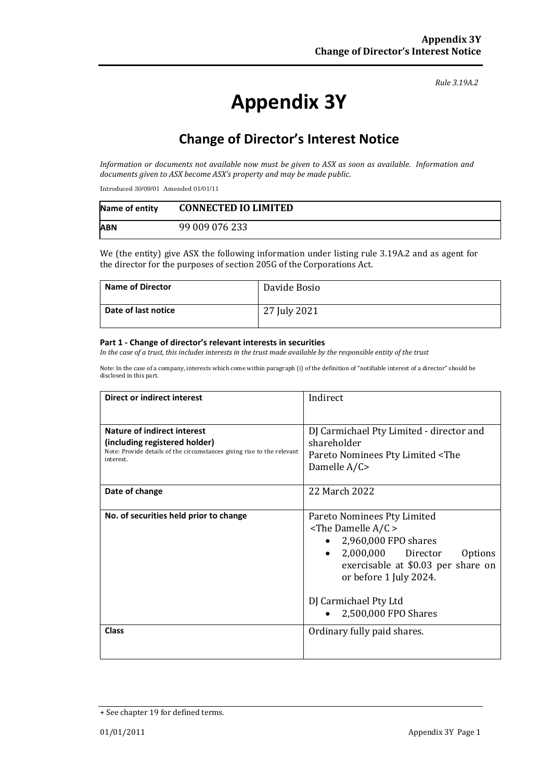#### *Rule 3.19A.2*

# **Appendix 3Y**

# **Change of Director's Interest Notice**

*Information or documents not available now must be given to ASX as soon as available. Information and documents given to ASX become ASX's property and may be made public.*

Introduced 30/09/01 Amended 01/01/11

| Name of entity | <b>CONNECTED IO LIMITED</b> |
|----------------|-----------------------------|
| <b>ABN</b>     | 99 009 076 233              |

We (the entity) give ASX the following information under listing rule 3.19A.2 and as agent for the director for the purposes of section 205G of the Corporations Act.

| <b>Name of Director</b> | Davide Bosio |
|-------------------------|--------------|
| Date of last notice     | 27 July 2021 |

#### **Part 1 - Change of director's relevant interests in securities**

*In the case of a trust, this includes interests in the trust made available by the responsible entity of the trust*

Note: In the case of a company, interests which come within paragraph (i) of the definition of "notifiable interest of a director" should be disclosed in this part.

| <b>Direct or indirect interest</b>                                                  | Indirect                                          |
|-------------------------------------------------------------------------------------|---------------------------------------------------|
|                                                                                     |                                                   |
| Nature of indirect interest                                                         | DJ Carmichael Pty Limited - director and          |
| (including registered holder)                                                       | shareholder                                       |
| Note: Provide details of the circumstances giving rise to the relevant<br>interest. | Pareto Nominees Pty Limited <the< th=""></the<>   |
|                                                                                     | Damelle A/C>                                      |
| Date of change                                                                      | 22 March 2022                                     |
|                                                                                     |                                                   |
| No. of securities held prior to change                                              | Pareto Nominees Pty Limited                       |
|                                                                                     | $\le$ The Damelle A/C $>$                         |
|                                                                                     | 2,960,000 FPO shares                              |
|                                                                                     | 2,000,000 Director<br><b>Options</b><br>$\bullet$ |
|                                                                                     | exercisable at \$0.03 per share on                |
|                                                                                     | or before 1 July 2024.                            |
|                                                                                     | DJ Carmichael Pty Ltd                             |
|                                                                                     | 2,500,000 FPO Shares                              |
| <b>Class</b>                                                                        | Ordinary fully paid shares.                       |
|                                                                                     |                                                   |

<sup>+</sup> See chapter 19 for defined terms.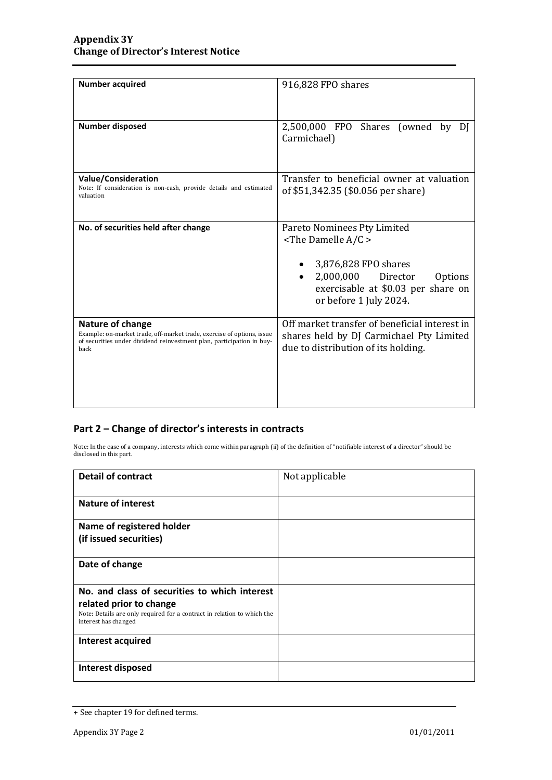| <b>Number acquired</b>                                                                                                                                                      | 916,828 FPO shares                                                                                                                                                                 |
|-----------------------------------------------------------------------------------------------------------------------------------------------------------------------------|------------------------------------------------------------------------------------------------------------------------------------------------------------------------------------|
| <b>Number disposed</b>                                                                                                                                                      | 2,500,000 FPO Shares (owned by<br>DI<br>Carmichael)                                                                                                                                |
| Value/Consideration<br>Note: If consideration is non-cash, provide details and estimated<br>valuation                                                                       | Transfer to beneficial owner at valuation<br>of \$51,342.35 (\$0.056 per share)                                                                                                    |
| No. of securities held after change                                                                                                                                         | Pareto Nominees Pty Limited<br>$\le$ The Damelle A/C ><br>3,876,828 FPO shares<br>2,000,000<br>Director<br>Options<br>exercisable at \$0.03 per share on<br>or before 1 July 2024. |
| Nature of change<br>Example: on-market trade, off-market trade, exercise of options, issue<br>of securities under dividend reinvestment plan, participation in buy-<br>back | Off market transfer of beneficial interest in<br>shares held by DJ Carmichael Pty Limited<br>due to distribution of its holding.                                                   |

### **Part 2 – Change of director's interests in contracts**

Note: In the case of a company, interests which come within paragraph (ii) of the definition of "notifiable interest of a director" should be disclosed in this part.

| <b>Detail of contract</b>                                                                       | Not applicable |
|-------------------------------------------------------------------------------------------------|----------------|
|                                                                                                 |                |
| <b>Nature of interest</b>                                                                       |                |
|                                                                                                 |                |
| Name of registered holder                                                                       |                |
| (if issued securities)                                                                          |                |
|                                                                                                 |                |
| Date of change                                                                                  |                |
|                                                                                                 |                |
| No. and class of securities to which interest                                                   |                |
| related prior to change                                                                         |                |
| Note: Details are only required for a contract in relation to which the<br>interest has changed |                |
|                                                                                                 |                |
| Interest acquired                                                                               |                |
|                                                                                                 |                |
| Interest disposed                                                                               |                |
|                                                                                                 |                |

<sup>+</sup> See chapter 19 for defined terms.